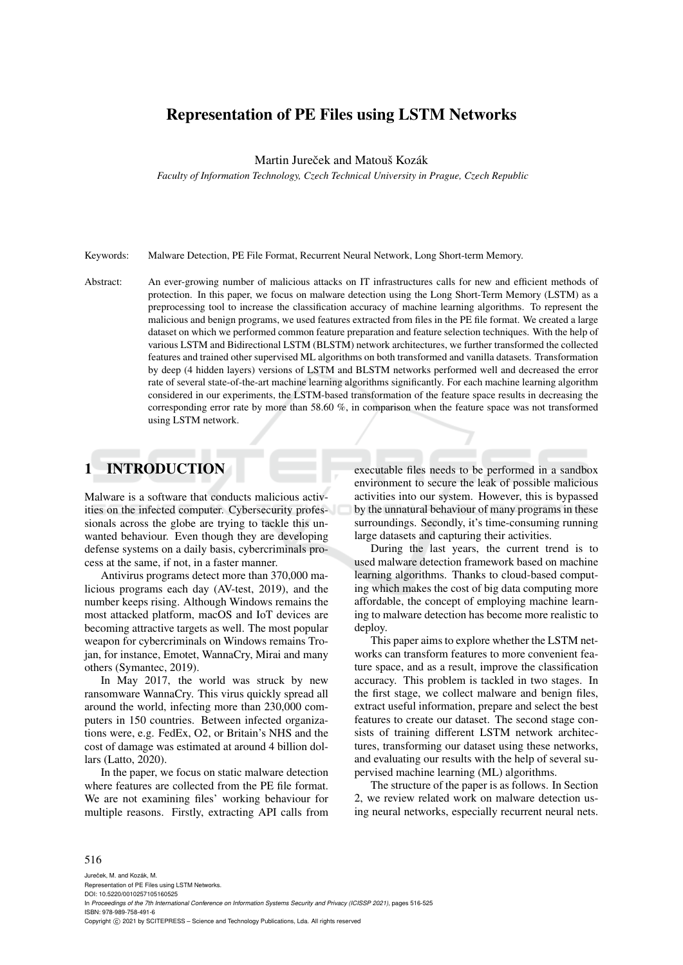# Representation of PE Files using LSTM Networks

Martin Jureček and Matouš Kozák

*Faculty of Information Technology, Czech Technical University in Prague, Czech Republic*

Keywords: Malware Detection, PE File Format, Recurrent Neural Network, Long Short-term Memory.

Abstract: An ever-growing number of malicious attacks on IT infrastructures calls for new and efficient methods of protection. In this paper, we focus on malware detection using the Long Short-Term Memory (LSTM) as a preprocessing tool to increase the classification accuracy of machine learning algorithms. To represent the malicious and benign programs, we used features extracted from files in the PE file format. We created a large dataset on which we performed common feature preparation and feature selection techniques. With the help of various LSTM and Bidirectional LSTM (BLSTM) network architectures, we further transformed the collected features and trained other supervised ML algorithms on both transformed and vanilla datasets. Transformation by deep (4 hidden layers) versions of LSTM and BLSTM networks performed well and decreased the error rate of several state-of-the-art machine learning algorithms significantly. For each machine learning algorithm considered in our experiments, the LSTM-based transformation of the feature space results in decreasing the corresponding error rate by more than 58.60 %, in comparison when the feature space was not transformed using LSTM network.

# 1 INTRODUCTION

Malware is a software that conducts malicious activities on the infected computer. Cybersecurity professionals across the globe are trying to tackle this unwanted behaviour. Even though they are developing defense systems on a daily basis, cybercriminals process at the same, if not, in a faster manner.

Antivirus programs detect more than 370,000 malicious programs each day (AV-test, 2019), and the number keeps rising. Although Windows remains the most attacked platform, macOS and IoT devices are becoming attractive targets as well. The most popular weapon for cybercriminals on Windows remains Trojan, for instance, Emotet, WannaCry, Mirai and many others (Symantec, 2019).

In May 2017, the world was struck by new ransomware WannaCry. This virus quickly spread all around the world, infecting more than 230,000 computers in 150 countries. Between infected organizations were, e.g. FedEx, O2, or Britain's NHS and the cost of damage was estimated at around 4 billion dollars (Latto, 2020).

In the paper, we focus on static malware detection where features are collected from the PE file format. We are not examining files' working behaviour for multiple reasons. Firstly, extracting API calls from

executable files needs to be performed in a sandbox environment to secure the leak of possible malicious activities into our system. However, this is bypassed by the unnatural behaviour of many programs in these surroundings. Secondly, it's time-consuming running large datasets and capturing their activities.

During the last years, the current trend is to used malware detection framework based on machine learning algorithms. Thanks to cloud-based computing which makes the cost of big data computing more affordable, the concept of employing machine learning to malware detection has become more realistic to deploy.

This paper aims to explore whether the LSTM networks can transform features to more convenient feature space, and as a result, improve the classification accuracy. This problem is tackled in two stages. In the first stage, we collect malware and benign files, extract useful information, prepare and select the best features to create our dataset. The second stage consists of training different LSTM network architectures, transforming our dataset using these networks, and evaluating our results with the help of several supervised machine learning (ML) algorithms.

The structure of the paper is as follows. In Section 2, we review related work on malware detection using neural networks, especially recurrent neural nets.

#### 516

Jureček, M. and Kozák, M. Representation of PE Files using LSTM Networks. DOI: 10.5220/0010257105160525 In *Proceedings of the 7th International Conference on Information Systems Security and Privacy (ICISSP 2021)*, pages 516-525 ISBN: 978-989-758-491-6 Copyright (C) 2021 by SCITEPRESS - Science and Technology Publications, Lda. All rights reserved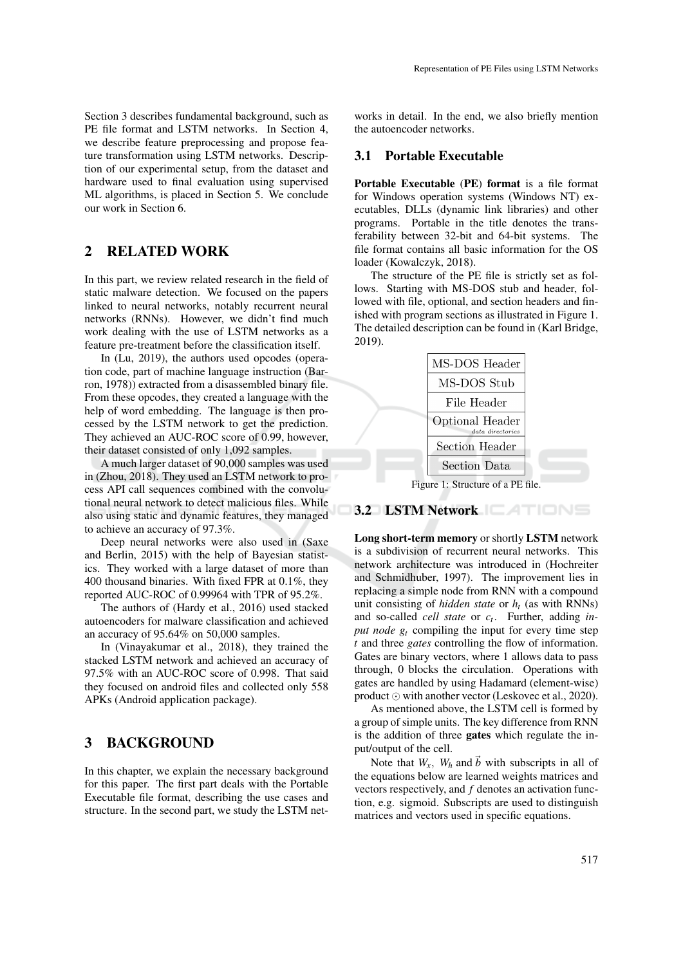Section 3 describes fundamental background, such as PE file format and LSTM networks. In Section 4, we describe feature preprocessing and propose feature transformation using LSTM networks. Description of our experimental setup, from the dataset and hardware used to final evaluation using supervised ML algorithms, is placed in Section 5. We conclude our work in Section 6.

# 2 RELATED WORK

In this part, we review related research in the field of static malware detection. We focused on the papers linked to neural networks, notably recurrent neural networks (RNNs). However, we didn't find much work dealing with the use of LSTM networks as a feature pre-treatment before the classification itself.

In (Lu, 2019), the authors used opcodes (operation code, part of machine language instruction (Barron, 1978)) extracted from a disassembled binary file. From these opcodes, they created a language with the help of word embedding. The language is then processed by the LSTM network to get the prediction. They achieved an AUC-ROC score of 0.99, however, their dataset consisted of only 1,092 samples.

A much larger dataset of 90,000 samples was used in (Zhou, 2018). They used an LSTM network to process API call sequences combined with the convolutional neural network to detect malicious files. While also using static and dynamic features, they managed to achieve an accuracy of 97.3%.

Deep neural networks were also used in (Saxe and Berlin, 2015) with the help of Bayesian statistics. They worked with a large dataset of more than 400 thousand binaries. With fixed FPR at 0.1%, they reported AUC-ROC of 0.99964 with TPR of 95.2%.

The authors of (Hardy et al., 2016) used stacked autoencoders for malware classification and achieved an accuracy of 95.64% on 50,000 samples.

In (Vinayakumar et al., 2018), they trained the stacked LSTM network and achieved an accuracy of 97.5% with an AUC-ROC score of 0.998. That said they focused on android files and collected only 558 APKs (Android application package).

## 3 BACKGROUND

In this chapter, we explain the necessary background for this paper. The first part deals with the Portable Executable file format, describing the use cases and structure. In the second part, we study the LSTM networks in detail. In the end, we also briefly mention the autoencoder networks.

### 3.1 Portable Executable

Portable Executable (PE) format is a file format for Windows operation systems (Windows NT) executables, DLLs (dynamic link libraries) and other programs. Portable in the title denotes the transferability between 32-bit and 64-bit systems. The file format contains all basic information for the OS loader (Kowalczyk, 2018).

The structure of the PE file is strictly set as follows. Starting with MS-DOS stub and header, followed with file, optional, and section headers and finished with program sections as illustrated in Figure 1. The detailed description can be found in (Karl Bridge, 2019).



## 3.2 LSTM Network

Long short-term memory or shortly LSTM network is a subdivision of recurrent neural networks. This network architecture was introduced in (Hochreiter and Schmidhuber, 1997). The improvement lies in replacing a simple node from RNN with a compound unit consisting of *hidden state* or *h<sup>t</sup>* (as with RNNs) and so-called *cell state* or *c<sup>t</sup>* . Further, adding *input node g<sup>t</sup>* compiling the input for every time step *t* and three *gates* controlling the flow of information. Gates are binary vectors, where 1 allows data to pass through, 0 blocks the circulation. Operations with gates are handled by using Hadamard (element-wise) product  $\odot$  with another vector (Leskovec et al., 2020).

As mentioned above, the LSTM cell is formed by a group of simple units. The key difference from RNN is the addition of three gates which regulate the input/output of the cell.

Note that  $W_x$ ,  $W_h$  and  $\vec{b}$  with subscripts in all of the equations below are learned weights matrices and vectors respectively, and *f* denotes an activation function, e.g. sigmoid. Subscripts are used to distinguish matrices and vectors used in specific equations.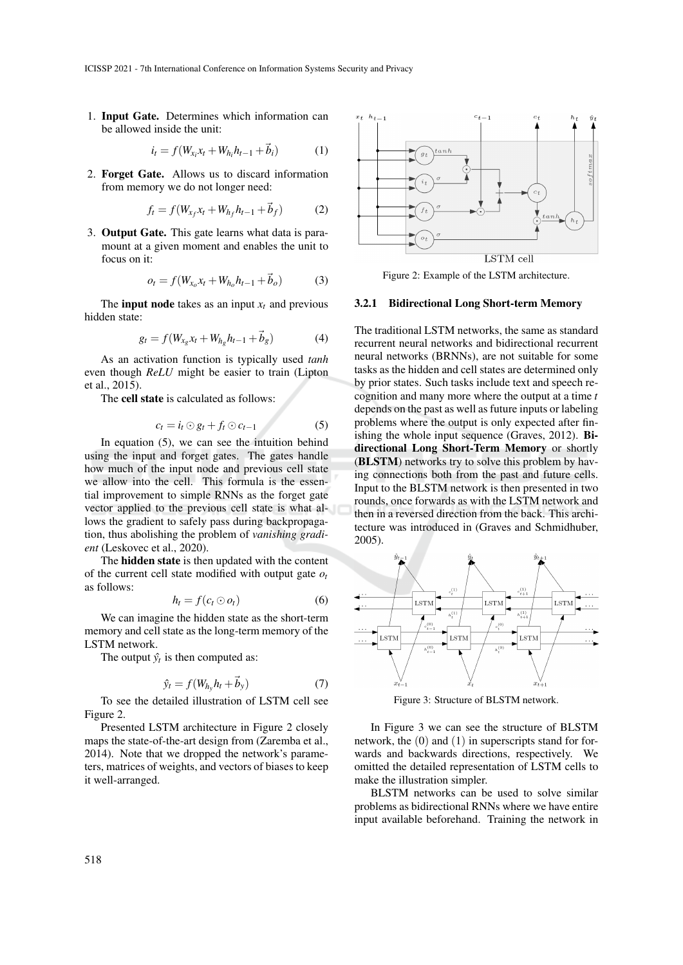1. Input Gate. Determines which information can be allowed inside the unit:

$$
i_t = f(W_{x_i}x_t + W_{h_i}h_{t-1} + \vec{b}_i)
$$
 (1)

2. Forget Gate. Allows us to discard information from memory we do not longer need:

$$
f_t = f(W_{x_f} x_t + W_{h_f} h_{t-1} + \vec{b}_f)
$$
 (2)

3. Output Gate. This gate learns what data is paramount at a given moment and enables the unit to focus on it:

$$
o_t = f(W_{x_0}x_t + W_{h_0}h_{t-1} + \vec{b}_o)
$$
 (3)

The **input node** takes as an input  $x_t$  and previous hidden state:

$$
g_t = f(W_{x_g} x_t + W_{h_g} h_{t-1} + \vec{b}_g)
$$
 (4)

As an activation function is typically used *tanh* even though *ReLU* might be easier to train (Lipton et al., 2015).

The cell state is calculated as follows:

$$
c_t = i_t \odot g_t + f_t \odot c_{t-1} \tag{5}
$$

In equation (5), we can see the intuition behind using the input and forget gates. The gates handle how much of the input node and previous cell state we allow into the cell. This formula is the essential improvement to simple RNNs as the forget gate vector applied to the previous cell state is what allows the gradient to safely pass during backpropagation, thus abolishing the problem of *vanishing gradient* (Leskovec et al., 2020).

The hidden state is then updated with the content of the current cell state modified with output gate *o<sup>t</sup>* as follows:

$$
h_t = f(c_t \odot o_t) \tag{6}
$$

We can imagine the hidden state as the short-term memory and cell state as the long-term memory of the LSTM network.

The output  $\hat{y}_t$  is then computed as:

$$
\hat{y}_t = f(W_{h_y} h_t + \vec{b}_y) \tag{7}
$$

To see the detailed illustration of LSTM cell see Figure 2.

Presented LSTM architecture in Figure 2 closely maps the state-of-the-art design from (Zaremba et al., 2014). Note that we dropped the network's parameters, matrices of weights, and vectors of biases to keep it well-arranged.



Figure 2: Example of the LSTM architecture.

#### 3.2.1 Bidirectional Long Short-term Memory

The traditional LSTM networks, the same as standard recurrent neural networks and bidirectional recurrent neural networks (BRNNs), are not suitable for some tasks as the hidden and cell states are determined only by prior states. Such tasks include text and speech recognition and many more where the output at a time *t* depends on the past as well as future inputs or labeling problems where the output is only expected after finishing the whole input sequence (Graves, 2012). Bidirectional Long Short-Term Memory or shortly (BLSTM) networks try to solve this problem by having connections both from the past and future cells. Input to the BLSTM network is then presented in two rounds, once forwards as with the LSTM network and then in a reversed direction from the back. This architecture was introduced in (Graves and Schmidhuber, 2005).



Figure 3: Structure of BLSTM network.

In Figure 3 we can see the structure of BLSTM network, the (0) and (1) in superscripts stand for forwards and backwards directions, respectively. We omitted the detailed representation of LSTM cells to make the illustration simpler.

BLSTM networks can be used to solve similar problems as bidirectional RNNs where we have entire input available beforehand. Training the network in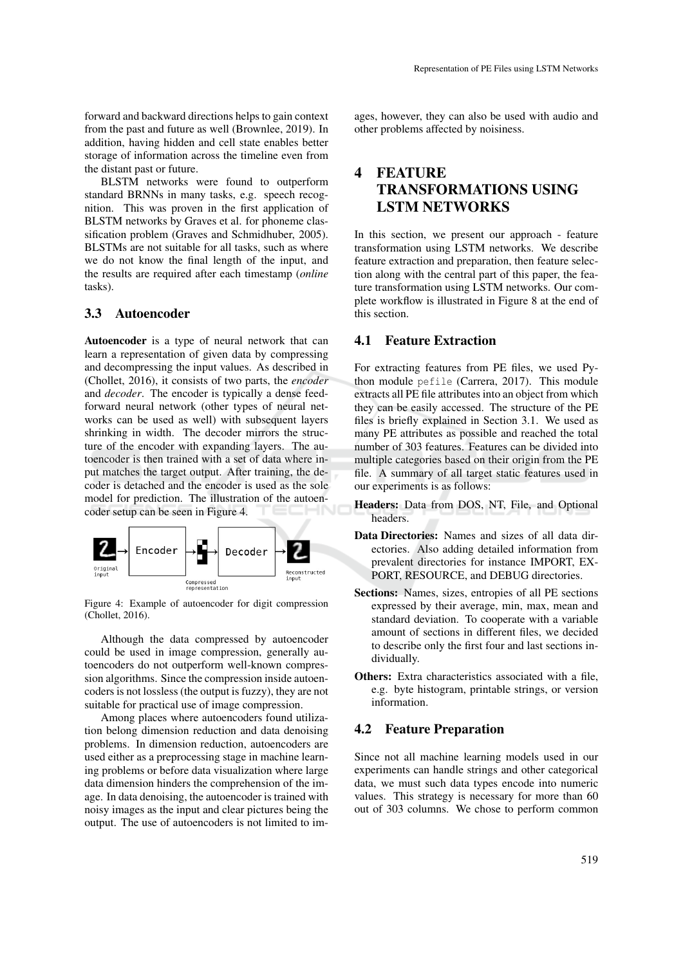forward and backward directions helps to gain context from the past and future as well (Brownlee, 2019). In addition, having hidden and cell state enables better storage of information across the timeline even from the distant past or future.

BLSTM networks were found to outperform standard BRNNs in many tasks, e.g. speech recognition. This was proven in the first application of BLSTM networks by Graves et al. for phoneme classification problem (Graves and Schmidhuber, 2005). BLSTMs are not suitable for all tasks, such as where we do not know the final length of the input, and the results are required after each timestamp (*online* tasks).

## 3.3 Autoencoder

Autoencoder is a type of neural network that can learn a representation of given data by compressing and decompressing the input values. As described in (Chollet, 2016), it consists of two parts, the *encoder* and *decoder*. The encoder is typically a dense feedforward neural network (other types of neural networks can be used as well) with subsequent layers shrinking in width. The decoder mirrors the structure of the encoder with expanding layers. The autoencoder is then trained with a set of data where input matches the target output. After training, the decoder is detached and the encoder is used as the sole model for prediction. The illustration of the autoencoder setup can be seen in Figure 4.



Figure 4: Example of autoencoder for digit compression (Chollet, 2016).

Although the data compressed by autoencoder could be used in image compression, generally autoencoders do not outperform well-known compression algorithms. Since the compression inside autoencoders is not lossless (the output is fuzzy), they are not suitable for practical use of image compression.

Among places where autoencoders found utilization belong dimension reduction and data denoising problems. In dimension reduction, autoencoders are used either as a preprocessing stage in machine learning problems or before data visualization where large data dimension hinders the comprehension of the image. In data denoising, the autoencoder is trained with noisy images as the input and clear pictures being the output. The use of autoencoders is not limited to im-

ages, however, they can also be used with audio and other problems affected by noisiness.

# 4 FEATURE TRANSFORMATIONS USING LSTM NETWORKS

In this section, we present our approach - feature transformation using LSTM networks. We describe feature extraction and preparation, then feature selection along with the central part of this paper, the feature transformation using LSTM networks. Our complete workflow is illustrated in Figure 8 at the end of this section.

### 4.1 Feature Extraction

For extracting features from PE files, we used Python module pefile (Carrera, 2017). This module extracts all PE file attributes into an object from which they can be easily accessed. The structure of the PE files is briefly explained in Section 3.1. We used as many PE attributes as possible and reached the total number of 303 features. Features can be divided into multiple categories based on their origin from the PE file. A summary of all target static features used in our experiments is as follows:

- Headers: Data from DOS, NT, File, and Optional headers.
- Data Directories: Names and sizes of all data directories. Also adding detailed information from prevalent directories for instance IMPORT, EX-PORT, RESOURCE, and DEBUG directories.
- Sections: Names, sizes, entropies of all PE sections expressed by their average, min, max, mean and standard deviation. To cooperate with a variable amount of sections in different files, we decided to describe only the first four and last sections individually.
- Others: Extra characteristics associated with a file, e.g. byte histogram, printable strings, or version information.

### 4.2 Feature Preparation

Since not all machine learning models used in our experiments can handle strings and other categorical data, we must such data types encode into numeric values. This strategy is necessary for more than 60 out of 303 columns. We chose to perform common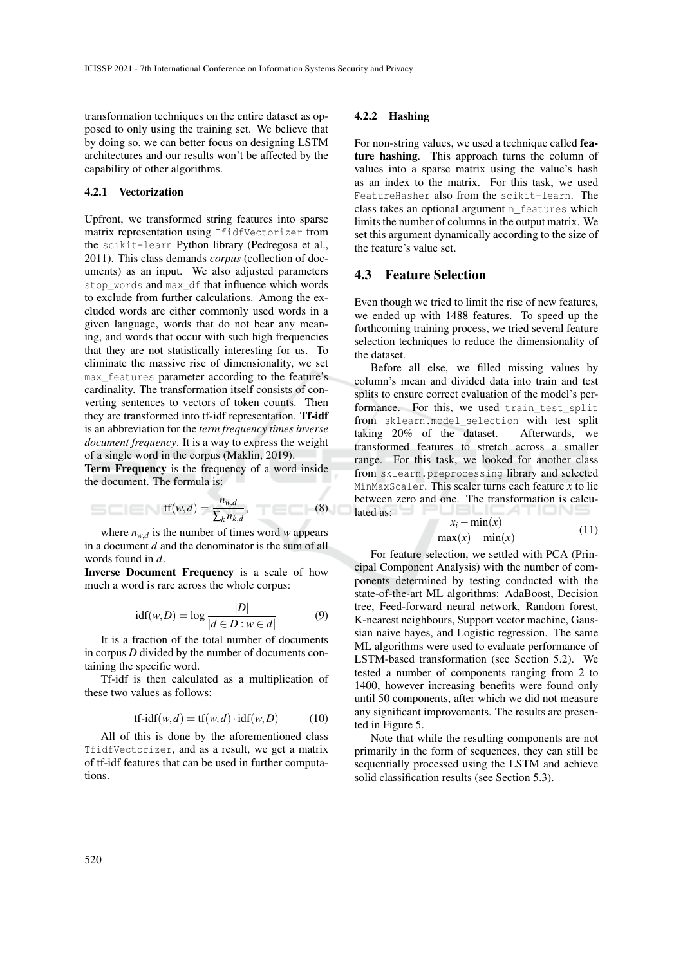transformation techniques on the entire dataset as opposed to only using the training set. We believe that by doing so, we can better focus on designing LSTM architectures and our results won't be affected by the capability of other algorithms.

### 4.2.1 Vectorization

Upfront, we transformed string features into sparse matrix representation using TfidfVectorizer from the scikit-learn Python library (Pedregosa et al., 2011). This class demands *corpus* (collection of documents) as an input. We also adjusted parameters stop\_words and max\_df that influence which words to exclude from further calculations. Among the excluded words are either commonly used words in a given language, words that do not bear any meaning, and words that occur with such high frequencies that they are not statistically interesting for us. To eliminate the massive rise of dimensionality, we set max\_features parameter according to the feature's cardinality. The transformation itself consists of converting sentences to vectors of token counts. Then they are transformed into tf-idf representation. Tf-idf is an abbreviation for the *term frequency times inverse document frequency*. It is a way to express the weight of a single word in the corpus (Maklin, 2019).

Term Frequency is the frequency of a word inside the document. The formula is: I

$$
\text{tf}(w,d) = \frac{n_{w,d}}{\sum_{k} n_{k,d}},\tag{8}
$$

where  $n_{w,d}$  is the number of times word *w* appears in a document *d* and the denominator is the sum of all words found in *d*.

Inverse Document Frequency is a scale of how much a word is rare across the whole corpus:

$$
idf(w, D) = log \frac{|D|}{|d \in D : w \in d|}
$$
 (9)

It is a fraction of the total number of documents in corpus *D* divided by the number of documents containing the specific word.

Tf-idf is then calculated as a multiplication of these two values as follows:

$$
tf-idf(w,d) = tf(w,d) \cdot idf(w,D)
$$
 (10)

All of this is done by the aforementioned class TfidfVectorizer, and as a result, we get a matrix of tf-idf features that can be used in further computations.

### 4.2.2 Hashing

For non-string values, we used a technique called feature hashing. This approach turns the column of values into a sparse matrix using the value's hash as an index to the matrix. For this task, we used FeatureHasher also from the scikit-learn. The class takes an optional argument n\_features which limits the number of columns in the output matrix. We set this argument dynamically according to the size of the feature's value set.

## 4.3 Feature Selection

Even though we tried to limit the rise of new features, we ended up with 1488 features. To speed up the forthcoming training process, we tried several feature selection techniques to reduce the dimensionality of the dataset.

Before all else, we filled missing values by column's mean and divided data into train and test splits to ensure correct evaluation of the model's performance. For this, we used train test split from sklearn.model selection with test split taking 20% of the dataset. Afterwards, we transformed features to stretch across a smaller range. For this task, we looked for another class from sklearn.preprocessing library and selected MinMaxScaler. This scaler turns each feature *x* to lie between zero and one. The transformation is calcu- $\lceil \frac{1}{2} \rceil$  ated as:  $\lceil \frac{1}{2} \rceil$  and  $\lceil \frac{1}{2} \rceil$  and  $\lceil \frac{1}{2} \rceil$  and  $\lceil \frac{1}{2} \rceil$  and  $\lceil \frac{1}{2} \rceil$ 

$$
\frac{x_i - \min(x)}{\max(x) - \min(x)}\tag{11}
$$

For feature selection, we settled with PCA (Principal Component Analysis) with the number of components determined by testing conducted with the state-of-the-art ML algorithms: AdaBoost, Decision tree, Feed-forward neural network, Random forest, K-nearest neighbours, Support vector machine, Gaussian naive bayes, and Logistic regression. The same ML algorithms were used to evaluate performance of LSTM-based transformation (see Section 5.2). We tested a number of components ranging from 2 to 1400, however increasing benefits were found only until 50 components, after which we did not measure any significant improvements. The results are presented in Figure 5.

Note that while the resulting components are not primarily in the form of sequences, they can still be sequentially processed using the LSTM and achieve solid classification results (see Section 5.3).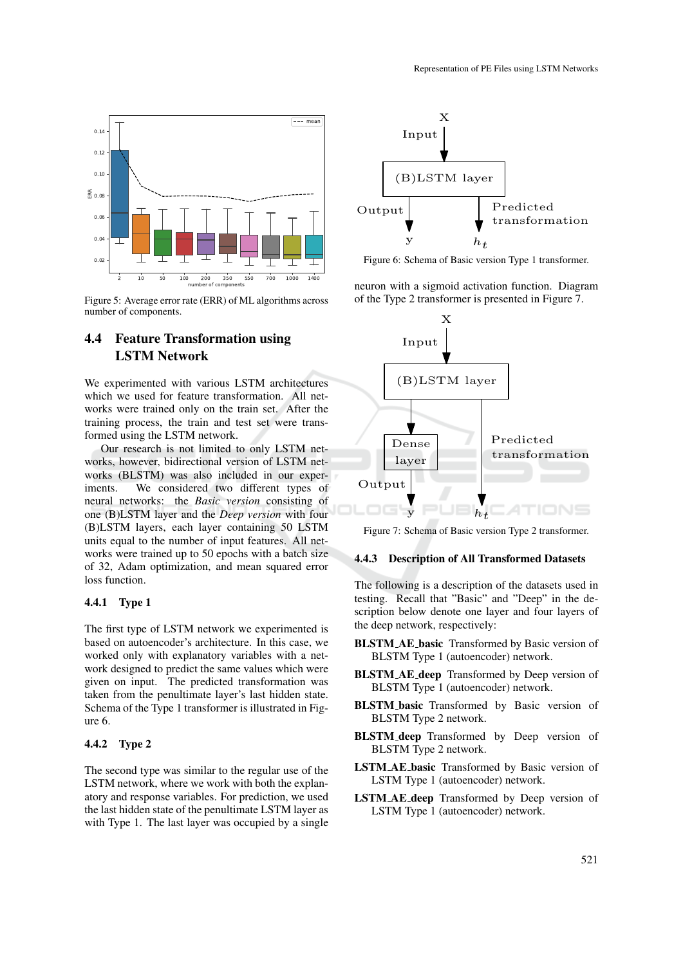

Figure 5: Average error rate (ERR) of ML algorithms across number of components.

## 4.4 Feature Transformation using LSTM Network

We experimented with various LSTM architectures which we used for feature transformation. All networks were trained only on the train set. After the training process, the train and test set were transformed using the LSTM network.

Our research is not limited to only LSTM networks, however, bidirectional version of LSTM networks (BLSTM) was also included in our experiments. We considered two different types of neural networks: the *Basic version* consisting of one (B)LSTM layer and the *Deep version* with four (B)LSTM layers, each layer containing 50 LSTM units equal to the number of input features. All networks were trained up to 50 epochs with a batch size of 32, Adam optimization, and mean squared error loss function.

### 4.4.1 Type 1

The first type of LSTM network we experimented is based on autoencoder's architecture. In this case, we worked only with explanatory variables with a network designed to predict the same values which were given on input. The predicted transformation was taken from the penultimate layer's last hidden state. Schema of the Type 1 transformer is illustrated in Figure 6.

### 4.4.2 Type 2

The second type was similar to the regular use of the LSTM network, where we work with both the explanatory and response variables. For prediction, we used the last hidden state of the penultimate LSTM layer as with Type 1. The last layer was occupied by a single



Figure 6: Schema of Basic version Type 1 transformer.

neuron with a sigmoid activation function. Diagram of the Type 2 transformer is presented in Figure 7.



Figure 7: Schema of Basic version Type 2 transformer.

### 4.4.3 Description of All Transformed Datasets

The following is a description of the datasets used in testing. Recall that "Basic" and "Deep" in the description below denote one layer and four layers of the deep network, respectively:

- BLSTM AE basic Transformed by Basic version of BLSTM Type 1 (autoencoder) network.
- BLSTM\_AE\_deep Transformed by Deep version of BLSTM Type 1 (autoencoder) network.
- BLSTM basic Transformed by Basic version of BLSTM Type 2 network.
- BLSTM deep Transformed by Deep version of BLSTM Type 2 network.
- LSTM AE basic Transformed by Basic version of LSTM Type 1 (autoencoder) network.
- LSTM AE deep Transformed by Deep version of LSTM Type 1 (autoencoder) network.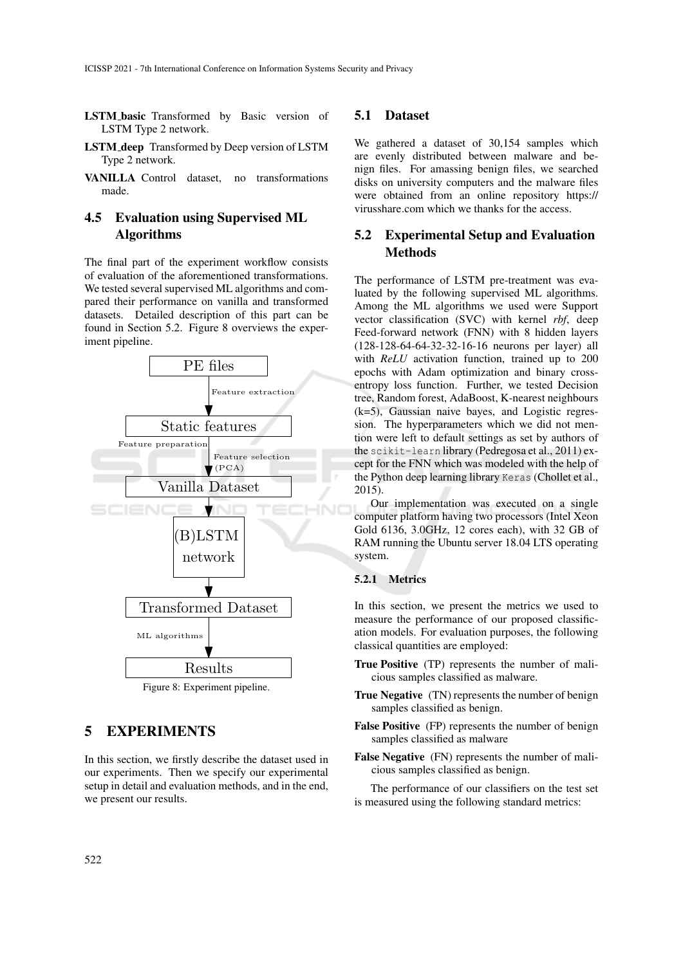- LSTM basic Transformed by Basic version of LSTM Type 2 network.
- LSTM deep Transformed by Deep version of LSTM Type 2 network.
- VANILLA Control dataset, no transformations made.

## 4.5 Evaluation using Supervised ML Algorithms

The final part of the experiment workflow consists of evaluation of the aforementioned transformations. We tested several supervised ML algorithms and compared their performance on vanilla and transformed datasets. Detailed description of this part can be found in Section 5.2. Figure 8 overviews the experiment pipeline.



Figure 8: Experiment pipeline.

## 5 EXPERIMENTS

In this section, we firstly describe the dataset used in our experiments. Then we specify our experimental setup in detail and evaluation methods, and in the end, we present our results.

### 5.1 Dataset

We gathered a dataset of 30,154 samples which are evenly distributed between malware and benign files. For amassing benign files, we searched disks on university computers and the malware files were obtained from an online repository https:// virusshare.com which we thanks for the access.

## 5.2 Experimental Setup and Evaluation Methods

The performance of LSTM pre-treatment was evaluated by the following supervised ML algorithms. Among the ML algorithms we used were Support vector classification (SVC) with kernel *rbf*, deep Feed-forward network (FNN) with 8 hidden layers (128-128-64-64-32-32-16-16 neurons per layer) all with *ReLU* activation function, trained up to 200 epochs with Adam optimization and binary crossentropy loss function. Further, we tested Decision tree, Random forest, AdaBoost, K-nearest neighbours (k=5), Gaussian naive bayes, and Logistic regression. The hyperparameters which we did not mention were left to default settings as set by authors of the scikit-learn library (Pedregosa et al., 2011) except for the FNN which was modeled with the help of the Python deep learning library Keras (Chollet et al., 2015).

Our implementation was executed on a single computer platform having two processors (Intel Xeon Gold 6136, 3.0GHz, 12 cores each), with 32 GB of RAM running the Ubuntu server 18.04 LTS operating system.

### 5.2.1 Metrics

In this section, we present the metrics we used to measure the performance of our proposed classification models. For evaluation purposes, the following classical quantities are employed:

- True Positive (TP) represents the number of malicious samples classified as malware.
- True Negative (TN) represents the number of benign samples classified as benign.
- False Positive (FP) represents the number of benign samples classified as malware
- False Negative (FN) represents the number of malicious samples classified as benign.

The performance of our classifiers on the test set is measured using the following standard metrics: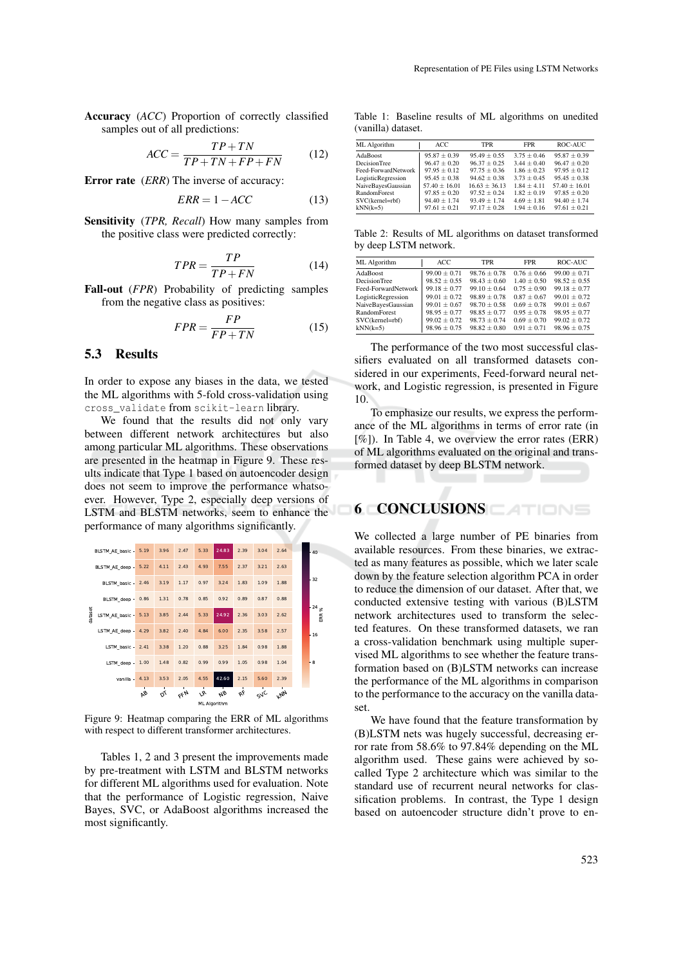Accuracy (*ACC*) Proportion of correctly classified samples out of all predictions:

$$
ACC = \frac{TP + TN}{TP + TN + FP + FN}
$$
 (12)

Error rate (*ERR*) The inverse of accuracy:

$$
ERR = 1 - ACC \tag{13}
$$

Sensitivity (*TPR, Recall*) How many samples from the positive class were predicted correctly:

$$
TPR = \frac{TP}{TP + FN} \tag{14}
$$

Fall-out (*FPR*) Probability of predicting samples from the negative class as positives:

$$
FPR = \frac{FP}{FP + TN} \tag{15}
$$

### 5.3 Results

In order to expose any biases in the data, we tested the ML algorithms with 5-fold cross-validation using cross\_validate from scikit-learn library.

We found that the results did not only vary between different network architectures but also among particular ML algorithms. These observations are presented in the heatmap in Figure 9. These results indicate that Type 1 based on autoencoder design does not seem to improve the performance whatsoever. However, Type 2, especially deep versions of LSTM and BLSTM networks, seem to enhance the performance of many algorithms significantly.



Figure 9: Heatmap comparing the ERR of ML algorithms with respect to different transformer architectures.

Tables 1, 2 and 3 present the improvements made by pre-treatment with LSTM and BLSTM networks for different ML algorithms used for evaluation. Note that the performance of Logistic regression, Naive Bayes, SVC, or AdaBoost algorithms increased the most significantly.

Table 1: Baseline results of ML algorithms on unedited (vanilla) dataset.

| ML Algorithm        | ACC.             | TPR             | <b>FPR</b>    | ROC-AUC         |
|---------------------|------------------|-----------------|---------------|-----------------|
| AdaBoost            | $95.87 \pm 0.39$ | $95.49 + 0.55$  | $3.75 + 0.46$ | $95.87 + 0.39$  |
| <b>DecisionTree</b> | $96.47 + 0.20$   | $96.37 + 0.25$  | $3.44 + 0.40$ | $96.47 + 0.20$  |
| Feed-ForwardNetwork | $97.95 + 0.12$   | $97.75 + 0.36$  | $1.86 + 0.23$ | $97.95 + 0.12$  |
| LogisticRegression  | $95.45 + 0.38$   | $94.62 + 0.38$  | $3.73 + 0.45$ | $95.45 + 0.38$  |
| NaiveBayesGaussian  | $57.40 + 16.01$  | $16.63 + 36.13$ | $1.84 + 4.11$ | $57.40 + 16.01$ |
| <b>RandomForest</b> | $97.85 + 0.20$   | $97.52 + 0.24$  | $1.82 + 0.19$ | $97.85 + 0.20$  |
| SVC(kernel=rbf)     | $94.40 + 1.74$   | $93.49 + 1.74$  | $4.69 + 1.81$ | $94.40 + 1.74$  |
| $kNN(k=5)$          | $97.61 \pm 0.21$ | $97.17 + 0.28$  | $1.94 + 0.16$ | $97.61 + 0.21$  |

Table 2: Results of ML algorithms on dataset transformed by deep LSTM network.

| ML Algorithm        | ACC              | <b>TPR</b>       | <b>FPR</b>      | ROC-AUC          |
|---------------------|------------------|------------------|-----------------|------------------|
| AdaBoost            | $99.00 + 0.71$   | $98.76 + 0.78$   | $0.76 + 0.66$   | $99.00 + 0.71$   |
| <b>DecisionTree</b> | $98.52 + 0.55$   | $98.43 + 0.60$   | $1.40 + 0.50$   | $98.52 + 0.55$   |
| Feed-ForwardNetwork | $99.18 + 0.77$   | $99.10 + 0.64$   | $0.75 + 0.90$   | $99.18 + 0.77$   |
| LogisticRegression  | $99.01 \pm 0.72$ | $98.89 + 0.78$   | $0.87 + 0.67$   | $99.01 + 0.72$   |
| NaiveBayesGaussian  | $99.01 \pm 0.67$ | $98.70 \pm 0.58$ | $0.69 \pm 0.78$ | $99.01 + 0.67$   |
| RandomForest        | $98.95 + 0.77$   | $98.85 + 0.77$   | $0.95 \pm 0.78$ | $98.95 + 0.77$   |
| SVC(kernel=rbf)     | $99.02 \pm 0.72$ | $98.73 + 0.74$   | $0.69 \pm 0.70$ | $99.02 \pm 0.72$ |
| $kNN(k=5)$          | $98.96 \pm 0.75$ | $98.82 + 0.80$   | $0.91 + 0.71$   | $98.96 + 0.75$   |

The performance of the two most successful classifiers evaluated on all transformed datasets considered in our experiments, Feed-forward neural network, and Logistic regression, is presented in Figure 10.

To emphasize our results, we express the performance of the ML algorithms in terms of error rate (in  $[\%]$ ). In Table 4, we overview the error rates (ERR) of ML algorithms evaluated on the original and transformed dataset by deep BLSTM network.

# 6 CONCLUSIONS

We collected a large number of PE binaries from available resources. From these binaries, we extracted as many features as possible, which we later scale down by the feature selection algorithm PCA in order to reduce the dimension of our dataset. After that, we conducted extensive testing with various (B)LSTM network architectures used to transform the selected features. On these transformed datasets, we ran a cross-validation benchmark using multiple supervised ML algorithms to see whether the feature transformation based on (B)LSTM networks can increase the performance of the ML algorithms in comparison to the performance to the accuracy on the vanilla dataset.

We have found that the feature transformation by (B)LSTM nets was hugely successful, decreasing error rate from 58.6% to 97.84% depending on the ML algorithm used. These gains were achieved by socalled Type 2 architecture which was similar to the standard use of recurrent neural networks for classification problems. In contrast, the Type 1 design based on autoencoder structure didn't prove to en-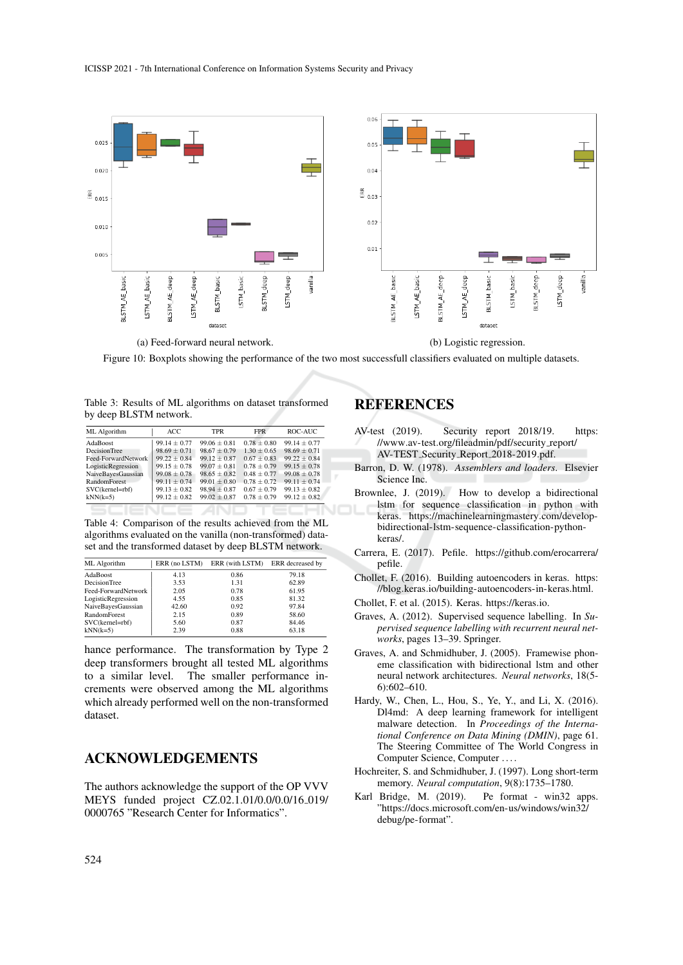

(a) Feed-forward neural network. (b) Logistic regression.

Figure 10: Boxplots showing the performance of the two most successfull classifiers evaluated on multiple datasets.

Table 3: Results of ML algorithms on dataset transformed by deep BLSTM network.

| ML Algorithm        | ACC              | <b>TPR</b>       | <b>FPR</b>      | ROC-AUC          |
|---------------------|------------------|------------------|-----------------|------------------|
| AdaBoost            | $99.14 \pm 0.77$ | $99.06 + 0.81$   | $0.78 + 0.80$   | $99.14 + 0.77$   |
| <b>DecisionTree</b> | $98.69 \pm 0.71$ | $98.67 + 0.79$   | $1.30 + 0.65$   | $98.69 \pm 0.71$ |
| Feed-ForwardNetwork | $99.22 + 0.84$   | $99.12 + 0.87$   | $0.67 + 0.83$   | $99.22 + 0.84$   |
| LogisticRegression  | $99.15 \pm 0.78$ | $99.07 \pm 0.81$ | $0.78 \pm 0.79$ | $99.15 \pm 0.78$ |
| NaiveBayesGaussian  | $99.08 \pm 0.78$ | $98.65 + 0.82$   | $0.48 + 0.77$   | $99.08 + 0.78$   |
| <b>RandomForest</b> | $99.11 \pm 0.74$ | $99.01 \pm 0.80$ | $0.78 + 0.72$   | $99.11 + 0.74$   |
| SVC(kernel=rbf)     | $99.13 \pm 0.82$ | $98.94 + 0.87$   | $0.67 \pm 0.79$ | $99.13 + 0.82$   |
| $kNN(k=5)$          | $99.12 \pm 0.82$ | $99.02 + 0.87$   | $0.78 + 0.79$   | $99.12 + 0.82$   |
|                     |                  |                  |                 |                  |
|                     |                  |                  |                 |                  |

Table 4: Comparison of the results achieved from the ML algorithms evaluated on the vanilla (non-transformed) dataset and the transformed dataset by deep BLSTM network.

| ML Algorithm        | ERR (no LSTM) | ERR (with LSTM) | ERR decreased by |
|---------------------|---------------|-----------------|------------------|
| AdaBoost            | 4.13          | 0.86            | 79.18            |
| <b>DecisionTree</b> | 3.53          | 1.31            | 62.89            |
| Feed-ForwardNetwork | 2.05          | 0.78            | 61.95            |
| LogisticRegression  | 4.55          | 0.85            | 81.32            |
| NaiveBayesGaussian  | 42.60         | 0.92            | 97.84            |
| <b>RandomForest</b> | 2.15          | 0.89            | 58.60            |
| SVC(kernel=rbf)     | 5.60          | 0.87            | 84.46            |
| $kNN(k=5)$          | 2.39          | 0.88            | 63.18            |

hance performance. The transformation by Type 2 deep transformers brought all tested ML algorithms to a similar level. The smaller performance increments were observed among the ML algorithms which already performed well on the non-transformed dataset.

## ACKNOWLEDGEMENTS

The authors acknowledge the support of the OP VVV MEYS funded project CZ.02.1.01/0.0/0.0/16 019/ 0000765 "Research Center for Informatics".

# REFERENCES

- AV-test (2019). Security report 2018/19. https: //www.av-test.org/fileadmin/pdf/security\_report/ AV-TEST Security Report 2018-2019.pdf.
- Barron, D. W. (1978). *Assemblers and loaders*. Elsevier Science Inc.
- Brownlee, J. (2019). How to develop a bidirectional lstm for sequence classification in python with keras. https://machinelearningmastery.com/developbidirectional-lstm-sequence-classification-pythonkeras/.
- Carrera, E. (2017). Pefile. https://github.com/erocarrera/ pefile.
- Chollet, F. (2016). Building autoencoders in keras. https: //blog.keras.io/building-autoencoders-in-keras.html.
- Chollet, F. et al. (2015). Keras. https://keras.io.
- Graves, A. (2012). Supervised sequence labelling. In *Supervised sequence labelling with recurrent neural networks*, pages 13–39. Springer.
- Graves, A. and Schmidhuber, J. (2005). Framewise phoneme classification with bidirectional lstm and other neural network architectures. *Neural networks*, 18(5- 6):602–610.
- Hardy, W., Chen, L., Hou, S., Ye, Y., and Li, X. (2016). Dl4md: A deep learning framework for intelligent malware detection. In *Proceedings of the International Conference on Data Mining (DMIN)*, page 61. The Steering Committee of The World Congress in Computer Science, Computer . . . .
- Hochreiter, S. and Schmidhuber, J. (1997). Long short-term memory. *Neural computation*, 9(8):1735–1780.
- Karl Bridge, M. (2019). Pe format win32 apps. "https://docs.microsoft.com/en-us/windows/win32/ debug/pe-format".